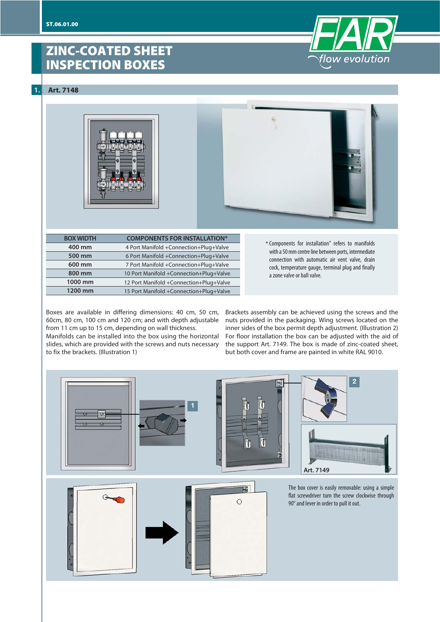# **ZINC-COATED SHEET INSPECTION BOXES**

**1. Art. 7148**



| <b>BOX WIDTH</b> | <b>COMPONENTS FOR INSTALLATION*</b>     |
|------------------|-----------------------------------------|
| 400 mm           | 4 Port Manifold +Connection+Plug+Valve  |
| 500 mm           | 6 Port Manifold +Connection+Plug+Valve  |
| 600 mm           | 7 Port Manifold +Connection+Plug+Valve  |
| 800 mm           | 10 Port Manifold +Connection+Plug+Valve |
| 1000 mm          | 12 Port Manifold +Connection+Plug+Valve |
| 1200 mm          | 15 Port Manifold +Connection+Plug+Valve |
|                  |                                         |

Components for installation" refers to manifolds \* with a 50 mm centre line between ports, intermediate connection with automatic air vent valve, drain cock, temperature gauge, terminal plug and finally a zone valve or ball valve.

flow evolution

Boxes are available in differing dimensions: 40 cm, 50 cm, 60cm, 80 cm, 100 cm and 120 cm; and with depth adjustable from 11 cm up to 15 cm, depending on wall thickness.

Manifolds can be installed into the box using the horizontal slides, which are provided with the screws and nuts necessary to fix the brackets. (Illustration 1)

Brackets assembly can be achieved using the screws and the nuts provided in the packaging. Wing screws located on the inner sides of the box permit depth adjustment. (Illustration 2) For floor installation the box can be adjusted with the aid of the support Art. 7149. The box is made of zinc-coated sheet, but both cover and frame are painted in white RAL 9010.

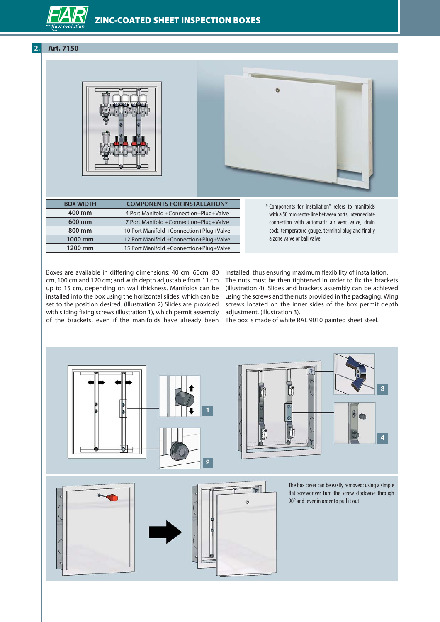### **ZINC-COATED SHEET INSPECTION BOXES**

### **2. Art. 7150**





| <b>BOX WIDTH</b> | <b>COMPONENTS FOR INSTALLATION*</b>     |
|------------------|-----------------------------------------|
| 400 mm           | 4 Port Manifold +Connection+Plug+Valve  |
| 600 mm           | 7 Port Manifold +Connection+Plug+Valve  |
| 800 mm           | 10 Port Manifold +Connection+Plug+Valve |
| 1000 mm          | 12 Port Manifold +Connection+Plug+Valve |
| 1200 mm          | 15 Port Manifold +Connection+Plug+Valve |
|                  |                                         |

Components for installation" refers to manifolds \*with a 50 mm centre line between ports, intermediate connection with automatic air vent valve, drain cock, temperature gauge, terminal plug and finally a zone valve or ball valve.

Boxes are available in differing dimensions: 40 cm, 60cm, 80 cm, 100 cm and 120 cm; and with depth adjustable from 11 cm up to 15 cm, depending on wall thickness. Manifolds can be installed into the box using the horizontal slides, which can be set to the position desired. (Illustration 2) Slides are provided with sliding fixing screws (Illustration 1), which permit assembly

installed, thus ensuring maximum flexibility of installation. The nuts must be then tightened in order to fix the brackets (Illustration 4). Slides and brackets assembly can be achieved using the screws and the nuts provided in the packaging. Wing screws located on the inner sides of the box permit depth adjustment. (Illustration 3).

of the brackets, even if the manifolds have already been The box is made of white RAL 9010 painted sheet steel.

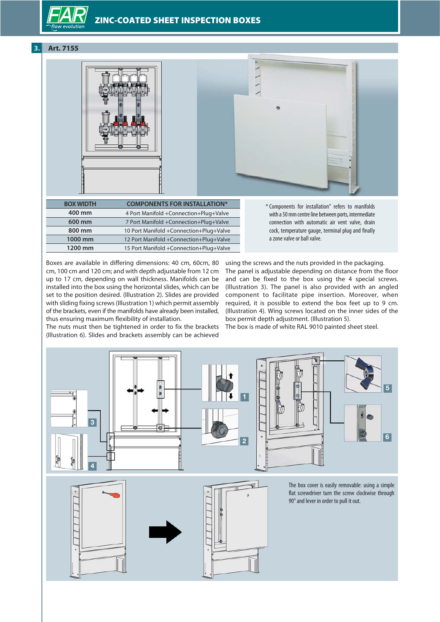### **ZINC-COATED SHEET INSPECTION BOXES**

### **3. Art. 7155**





| <b>BOX WIDTH</b> | <b>COMPONENTS FOR INSTALLATION*</b>     |
|------------------|-----------------------------------------|
| 400 mm           | 4 Port Manifold +Connection+Plug+Valve  |
| 600 mm           | 7 Port Manifold +Connection+Plug+Valve  |
| 800 mm           | 10 Port Manifold +Connection+Plug+Valve |
| 1000 mm          | 12 Port Manifold +Connection+Plug+Valve |
| 1200 mm          | 15 Port Manifold +Connection+Plug+Valve |
|                  |                                         |

Components for installation" refers to manifolds \*with a 50 mm centre line between ports, intermediate connection with automatic air vent valve, drain cock, temperature gauge, terminal plug and finally a zone valve or ball valve.

Boxes are available in differing dimensions: 40 cm, 60cm, 80 cm, 100 cm and 120 cm; and with depth adjustable from 12 cm up to 17 cm, depending on wall thickness. Manifolds can be installed into the box using the horizontal slides, which can be set to the position desired. (Illustration 2). Slides are provided with sliding fixing screws (Illustration 1) which permit assembly of the brackets, even if the manifolds have already been installed, thus ensuring maximum flexibility of installation.

The nuts must then be tightened in order to fix the brackets The box is made of white RAL 9010 painted sheet steel. (Illustration 6). Slides and brackets assembly can be achieved

using the screws and the nuts provided in the packaging. The panel is adjustable depending on distance from the floor and can be fixed to the box using the 4 special screws. (Illustration 3). The panel is also provided with an angled component to facilitate pipe insertion. Moreover, when required, it is possible to extend the box feet up to 9 cm. (Illustration 4). Wing screws located on the inner sides of the box permit depth adjustment. (Illustration 5).



٦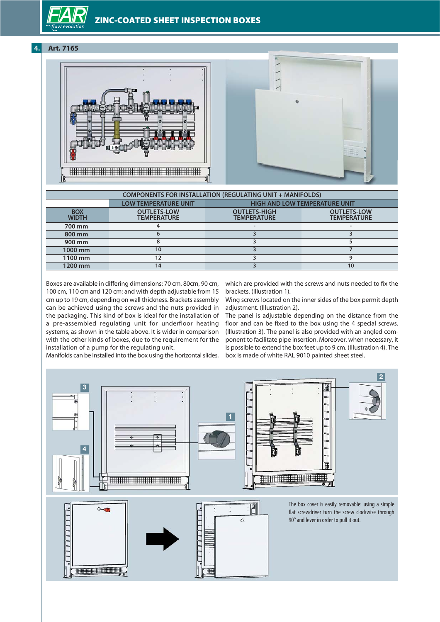**4. Art. 7165**



| <b>COMPONENTS FOR INSTALLATION (REGULATING UNIT + MANIFOLDS)</b> |                                          |                                           |                                          |  |  |
|------------------------------------------------------------------|------------------------------------------|-------------------------------------------|------------------------------------------|--|--|
|                                                                  | LOW TEMPERATURE UNIT                     | <b>HIGH AND LOW TEMPERATURE UNIT</b>      |                                          |  |  |
| <b>BOX</b><br><b>WIDTH</b>                                       | <b>OUTLETS-LOW</b><br><b>TEMPERATURE</b> | <b>OUTLETS-HIGH</b><br><b>TEMPERATURE</b> | <b>OUTLETS-LOW</b><br><b>TEMPERATURE</b> |  |  |
| 700 mm                                                           |                                          |                                           |                                          |  |  |
| 800 mm                                                           |                                          |                                           |                                          |  |  |
| 900 mm                                                           |                                          |                                           |                                          |  |  |
| 1000 mm                                                          | 10                                       |                                           |                                          |  |  |
| 1100 mm                                                          | 12                                       |                                           |                                          |  |  |
| 1200 mm                                                          | 14                                       |                                           | 10                                       |  |  |

Boxes are available in differing dimensions: 70 cm, 80cm, 90 cm, 100 cm, 110 cm and 120 cm; and with depth adjustable from 15 cm up to 19 cm, depending on wall thickness. Brackets assembly can be achieved using the screws and the nuts provided in the packaging. This kind of box is ideal for the installation of a pre-assembled regulating unit for underfloor heating systems, as shown in the table above. It is wider in comparison with the other kinds of boxes, due to the requirement for the installation of a pump for the regulating unit.

which are provided with the screws and nuts needed to fix the brackets. (Illustration 1).

Wing screws located on the inner sides of the box permit depth adjustment. (Illustration 2).

The panel is adjustable depending on the distance from the floor and can be fixed to the box using the 4 special screws. (Illustration 3). The panel is also provided with an angled component to facilitate pipe insertion. Moreover, when necessary, it is possible to extend the box feet up to 9 cm. (Illustration 4). The box is made of white RAL 9010 painted sheet steel.

Manifolds can be installed into the box using the horizontal slides,

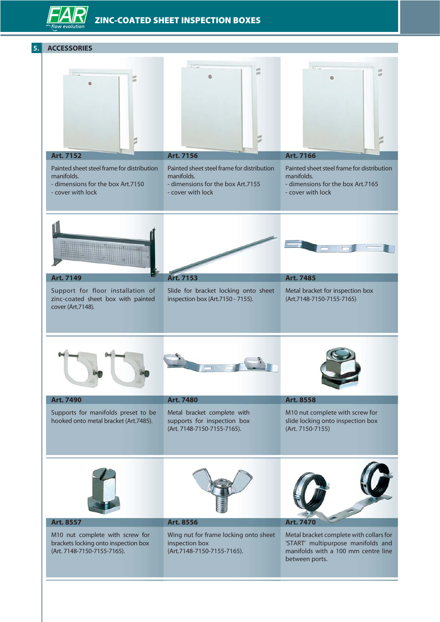## **ZINC-COATED SHEET INSPECTION BOXES**